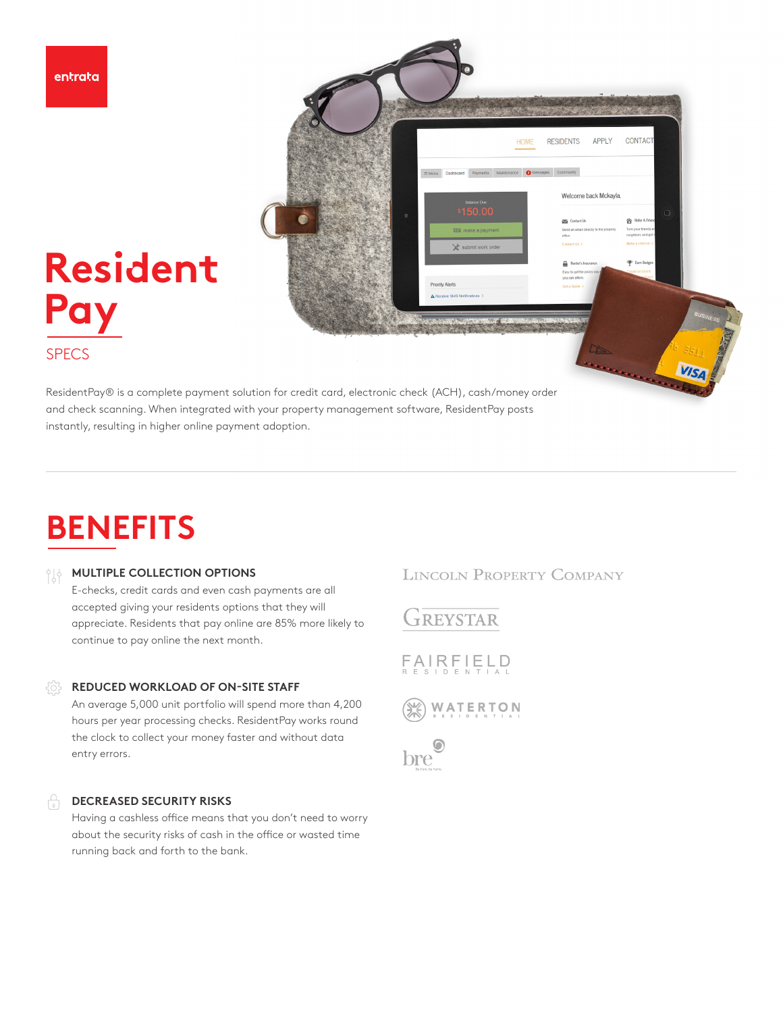

## **BENEFITS**

#### **MULTIPLE COLLECTION OPTIONS**  916 -

E-checks, credit cards and even cash payments are all accepted giving your residents options that they will appreciate. Residents that pay online are 85% more likely to continue to pay online the next month.

#### *<b>REDUCED WORKLOAD OF ON-SITE STAFF*

An average 5,000 unit portfolio will spend more than 4,200 hours per year processing checks. ResidentPay works round the clock to collect your money faster and without data entry errors.

#### **DECREASED SECURITY RISKS**  ि ।

Having a cashless office means that you don't need to worry about the security risks of cash in the office or wasted time running back and forth to the bank.

**LINCOLN PROPERTY COMPANY**